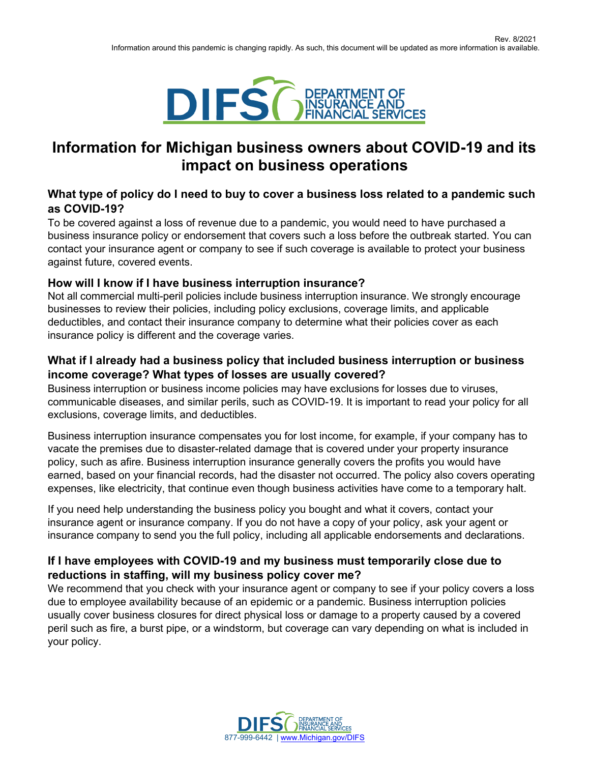

# **Information for Michigan business owners about COVID-19 and its impact on business operations**

# **What type of policy do I need to buy to cover a business loss related to a pandemic such as COVID-19?**

To be covered against a loss of revenue due to a pandemic, you would need to have purchased a business insurance policy or endorsement that covers such a loss before the outbreak started. You can contact your insurance agent or company to see if such coverage is available to protect your business against future, covered events.

# **How will I know if I have business interruption insurance?**

Not all commercial multi-peril policies include business interruption insurance. We strongly encourage businesses to review their policies, including policy exclusions, coverage limits, and applicable deductibles, and contact their insurance company to determine what their policies cover as each insurance policy is different and the coverage varies.

# **What if I already had a business policy that included business interruption or business income coverage? What types of losses are usually covered?**

Business interruption or business income policies may have exclusions for losses due to viruses, communicable diseases, and similar perils, such as COVID-19. It is important to read your policy for all exclusions, coverage limits, and deductibles.

Business interruption insurance compensates you for lost income, for example, if your company has to vacate the premises due to disaster-related damage that is covered under your property insurance policy, such as afire. Business interruption insurance generally covers the profits you would have earned, based on your financial records, had the disaster not occurred. The policy also covers operating expenses, like electricity, that continue even though business activities have come to a temporary halt.

If you need help understanding the business policy you bought and what it covers, contact your insurance agent or insurance company. If you do not have a copy of your policy, ask your agent or insurance company to send you the full policy, including all applicable endorsements and declarations.

# **If I have employees with COVID-19 and my business must temporarily close due to reductions in staffing, will my business policy cover me?**

We recommend that you check with your insurance agent or company to see if your policy covers a loss due to employee availability because of an epidemic or a pandemic. Business interruption policies usually cover business closures for direct physical loss or damage to a property caused by a covered peril such as fire, a burst pipe, or a windstorm, but coverage can vary depending on what is included in your policy.